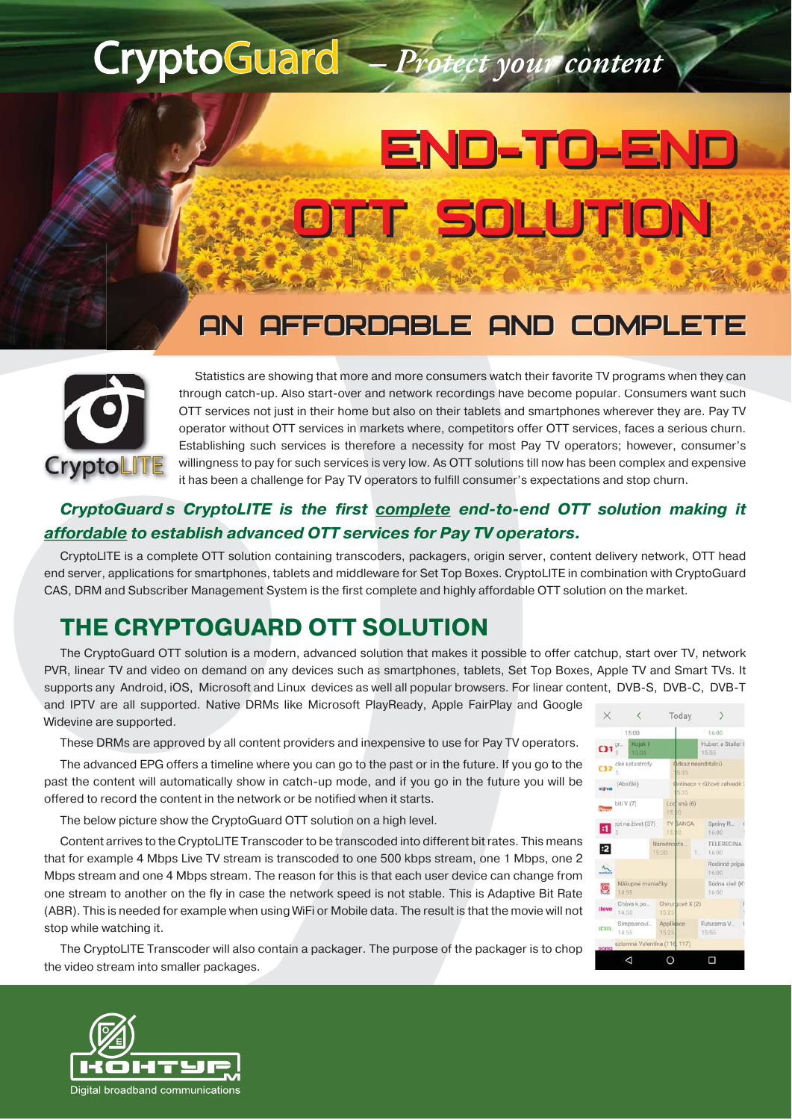## **CryptoGuard**

# END-TO-END END-TO-END OTT SOLUTION OTT SOLUTION

Protect your content

## AN AFFORDABLE AND COMPLETE



Statistics are showing that more and more consumers watch their favorite TV programs when they can through catch-up. Also start-over and network recordings have become popular. Consumers want such OTT services not just in their home but also on their tablets and smartphones wherever they are. Pay TV operator without OTT services in markets where, competitors offer OTT services, faces a serious churn. Establishing such services is therefore a necessity for most Pay TV operators; however, consumer's willingness to pay for such services is very low. As OTT solutions till now has been complex and expensive it has been a challenge for Pay TV operators to fulfill consumer's expectations and stop churn.

#### *CryptoGuards CryptoLITE is the first complete end-to-end OTT solution making it affordable to establish advanced OTT services for Pay TV operators.*

CryptoLITE is a complete OTT solution containing transcoders, packagers, origin server, content delivery network, OTT head end server, applications for smartphones, tablets and middleware for Set Top Boxes. CryptoLITE in combination with CryptoGuard CAS, DRM and Subscriber Management System is the first complete and highly affordable OTT solution on the market.

### **THE CRYPTOGUARD OTT SOLUTION**

The CryptoGuard OTT solution is a modern, advanced solution that makes it possible to offer catchup, start over TV, network PVR, linear TV and video on demand on any devices such as smartphones, tablets, Set Top Boxes, Apple TV and Smart TVs. It supports any Android, iOS, Microsoft and Linux devices as well all popular browsers. For linear content, DVB-S, DVB-C, DVB-T

and IPTV are all supported. Native DRMs like Microsoft PlayReady, Apple FairPlay and Google Widevine are supported.

These DRMs are approved by all content providers and inexpensive to use for Pay TV operators.

The advanced EPG offers a timeline where you can go to the past or in the future. If you go to the past the content will automatically show in catch-up mode, and if you go in the future you will be offered to record the content in the network or be notified when it starts.

The below picture show the CryptoGuard OTT solution on a high level.

Content arrives to the CryptoLITE Transcoder to be transcoded into different bit rates. This means that for example 4 Mbps Live TV stream is transcoded to one 500 kbps stream, one 1 Mbps, one 2 Mbps stream and one 4 Mbps stream. The reason for this is that each user device can change from one stream to another on the fly in case the network speed is not stable. This is Adaptive Bit Rate (ABR). This is needed for example when using WiFi or Mobile data. The result is that the movie will not stop while watching it.

The CryptoLITE Transcoder will also contain a packager. The purpose of the packager is to chop the video stream into smaller packages.